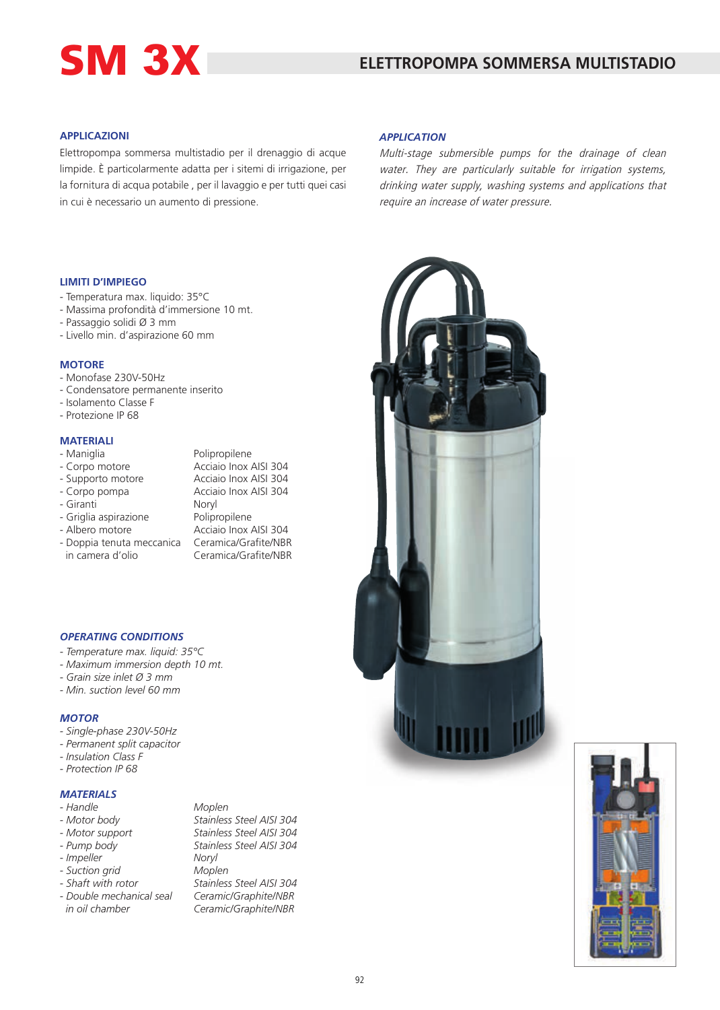# SM 3X

#### **APPLICAZIONI**

Elettropompa sommersa multistadio per il drenaggio di acque limpide. È particolarmente adatta per i sitemi di irrigazione, per la fornitura di acqua potabile , per il lavaggio e per tutti quei casi in cui è necessario un aumento di pressione.

#### **LIMITI D'IMPIEGO**

- Temperatura max. liquido: 35°C
- Massima profondità d'immersione 10 mt.
- Passaggio solidi Ø 3 mm
- Livello min. d'aspirazione 60 mm

#### **MOTORE**

- Monofase 230V-50Hz
- Condensatore permanente inserito
- Isolamento Classe F
- Protezione IP 68

### **MATERIALI**

| - Maniglia                | Polipropilene         |
|---------------------------|-----------------------|
| - Corpo motore            | Acciaio Inox AISI 304 |
| - Supporto motore         | Acciaio Inox AISI 304 |
| - Corpo pompa             | Acciaio Inox AISI 304 |
| - Giranti                 | Noryl                 |
| - Griglia aspirazione     | Polipropilene         |
| - Albero motore           | Acciaio Inox AISI 304 |
| - Doppia tenuta meccanica | Ceramica/Grafite/NBR  |
| in camera d'olio          | Ceramica/Grafite/NBR  |
|                           |                       |

#### *OPERATING CONDITIONS*

- *- Temperature max. liquid: 35°C*
- *Maximum immersion depth 10 mt.*
- *Grain size inlet Ø 3 mm*
- *Min. suction level 60 mm*

#### *MOTOR*

- *Single-phase 230V-50Hz*
- *Permanent split capacitor*
- *Insulation Class F*
- *Protection IP 68*

#### *MATERIALS*

- *Handle Moplen*
- 
- 
- *Impeller Noryl*
- *Suction grid Moplen*
- 
- 

*- Motor body Stainless Steel AISI 304 - Motor support Stainless Steel AISI 304 - Pump body Stainless Steel AISI 304 - Shaft with rotor Stainless Steel AISI 304 - Double mechanical seal Ceramic/Graphite/NBR in oil chamber Ceramic/Graphite/NBR*

#### *APPLICATION*

Multi-stage submersible pumps for the drainage of clean water. They are particularly suitable for irrigation systems, drinking water supply, washing systems and applications that require an increase of water pressure.